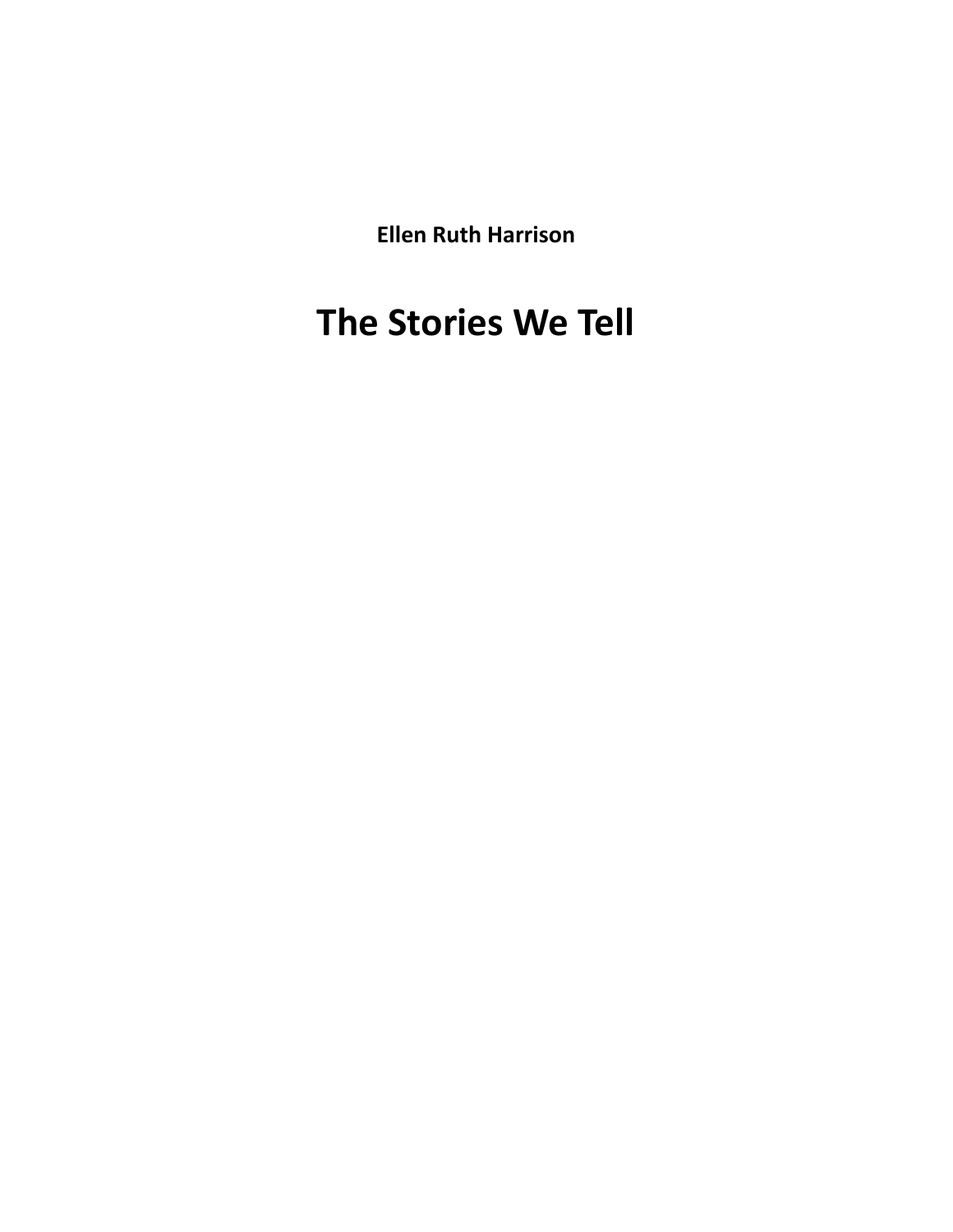**Ellen Ruth Harrison** 

# **The Stories We Tell**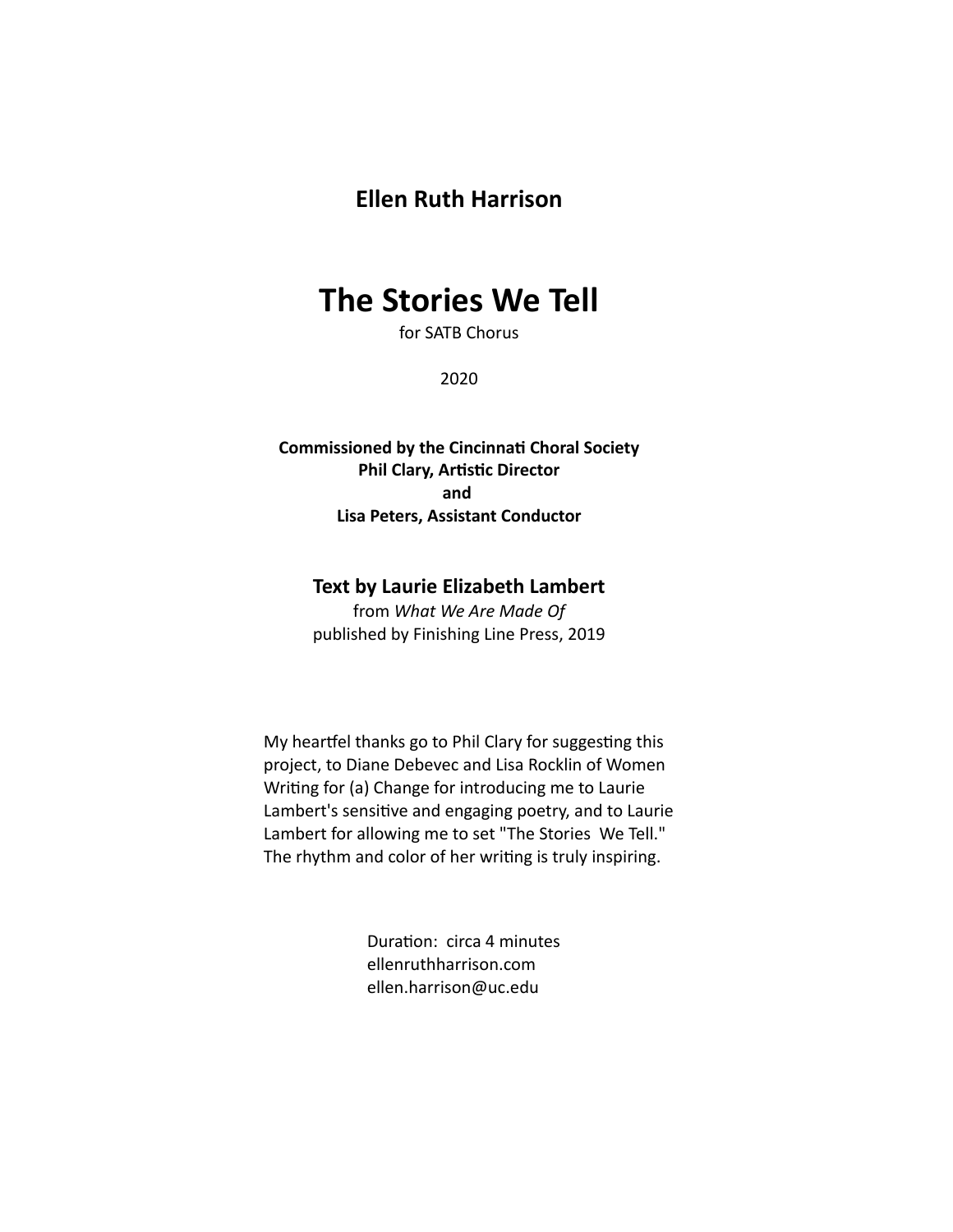### **Ellen Ruth Harrison**

## **The Stories We Tell**

for SATB Chorus

2020

**Commissioned by the Cincinnati Choral Society Phil Clary, Artistic Director and Lisa Peters, Assistant Conductor**

#### **Text by Laurie Elizabeth Lambert**

from *What We Are Made Of* published by Finishing Line Press, 2019

My heartfel thanks go to Phil Clary for suggesting this project, to Diane Debevec and Lisa Rocklin of Women Writing for (a) Change for introducing me to Laurie Lambert's sensitive and engaging poetry, and to Laurie Lambert for allowing me to set "The Stories We Tell." The rhythm and color of her writing is truly inspiring.

> Duration: circa 4 minutes ellenruthharrison.com ellen.harrison@uc.edu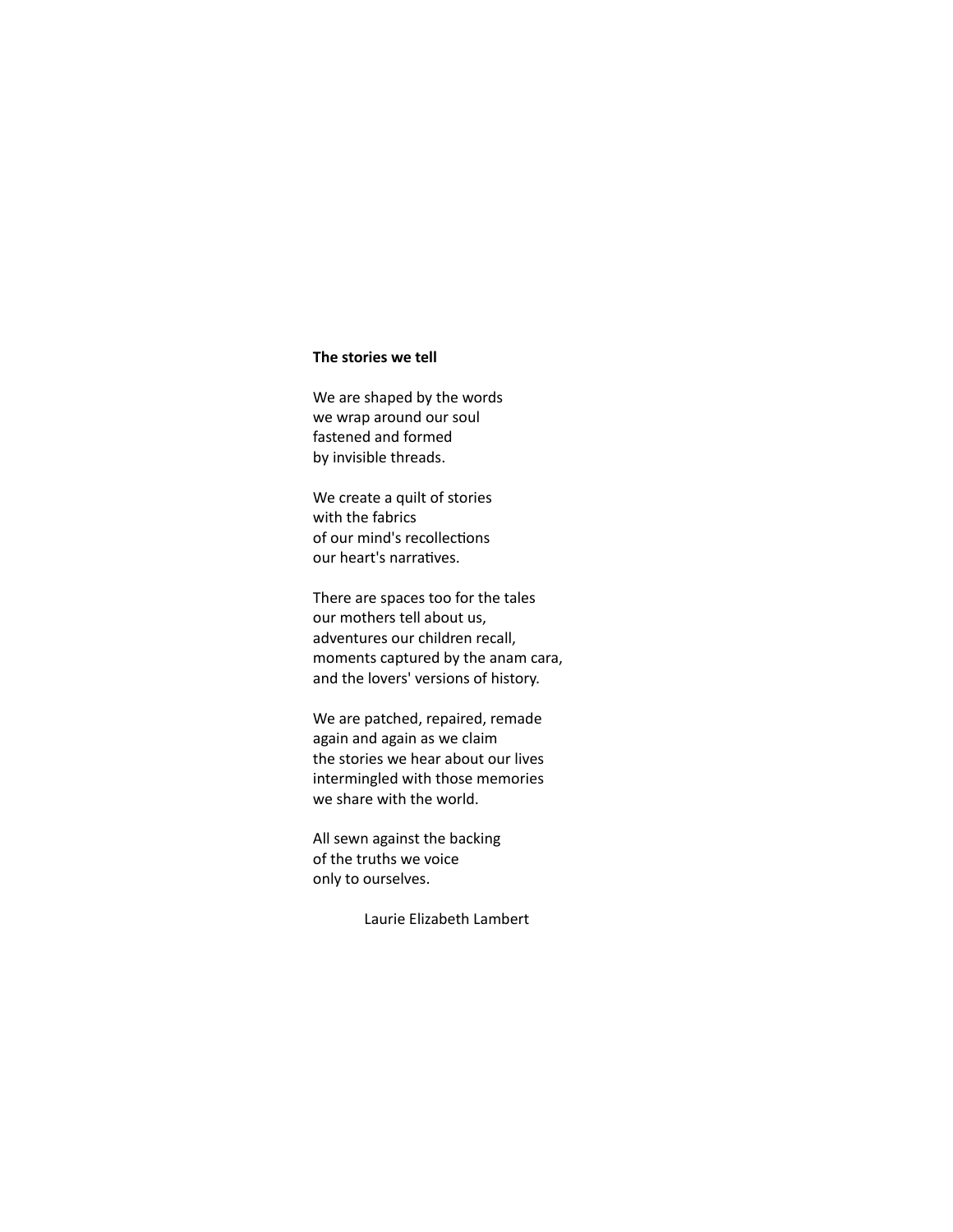#### The stories we tell

We are shaped by the words we wrap around our soul fastened and formed by invisible threads.

We create a quilt of stories with the fabrics of our mind's recollections our heart's narratives.

There are spaces too for the tales our mothers tell about us, adventures our children recall, moments captured by the anam cara, and the lovers' versions of history.

We are patched, repaired, remade again and again as we claim the stories we hear about our lives intermingled with those memories we share with the world.

All sewn against the backing of the truths we voice only to ourselves.

Laurie Elizabeth Lambert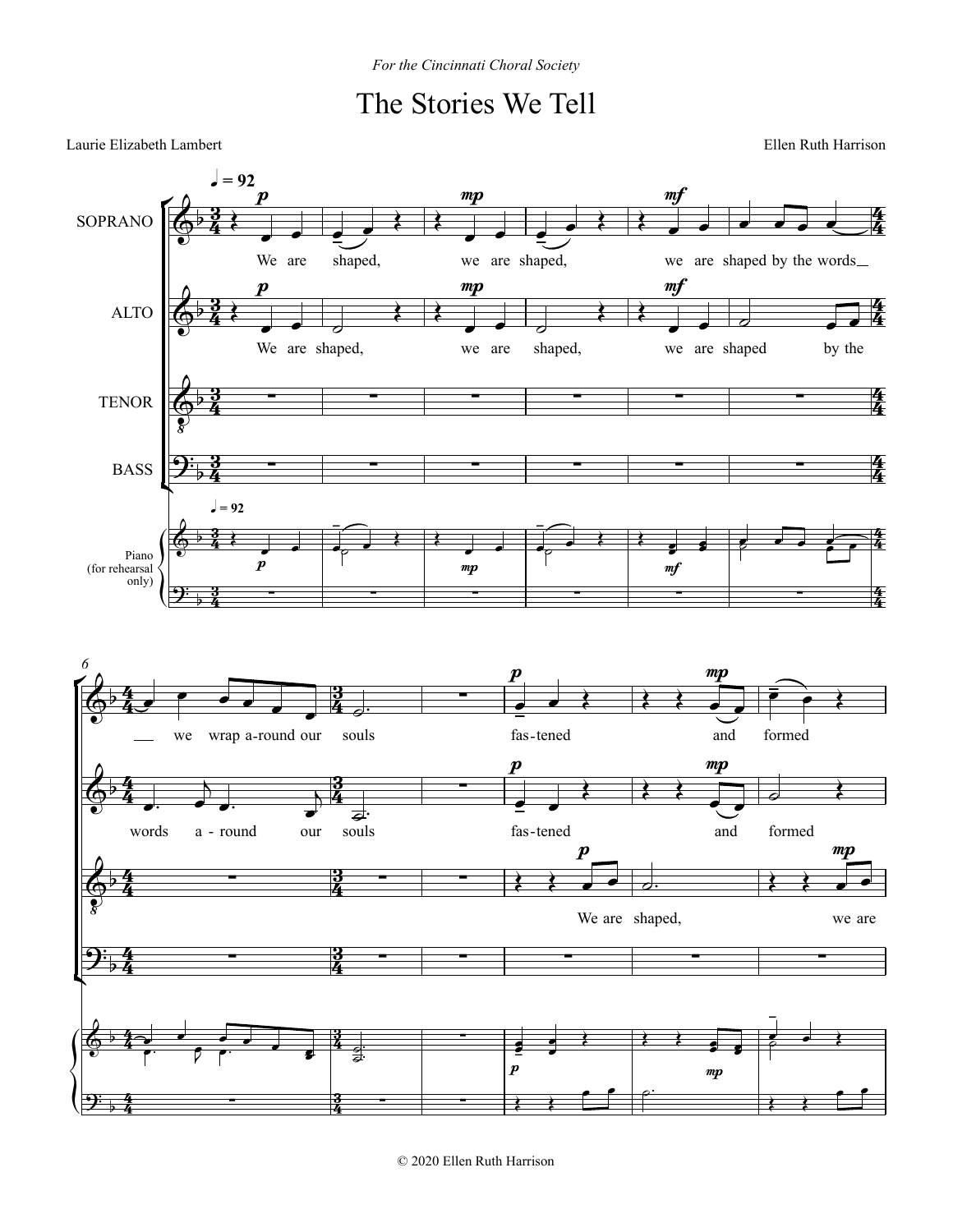### The Stories We Tell

Laurie Elizabeth Lambert

Ellen Ruth Harrison



© 2020 Ellen Ruth Harrison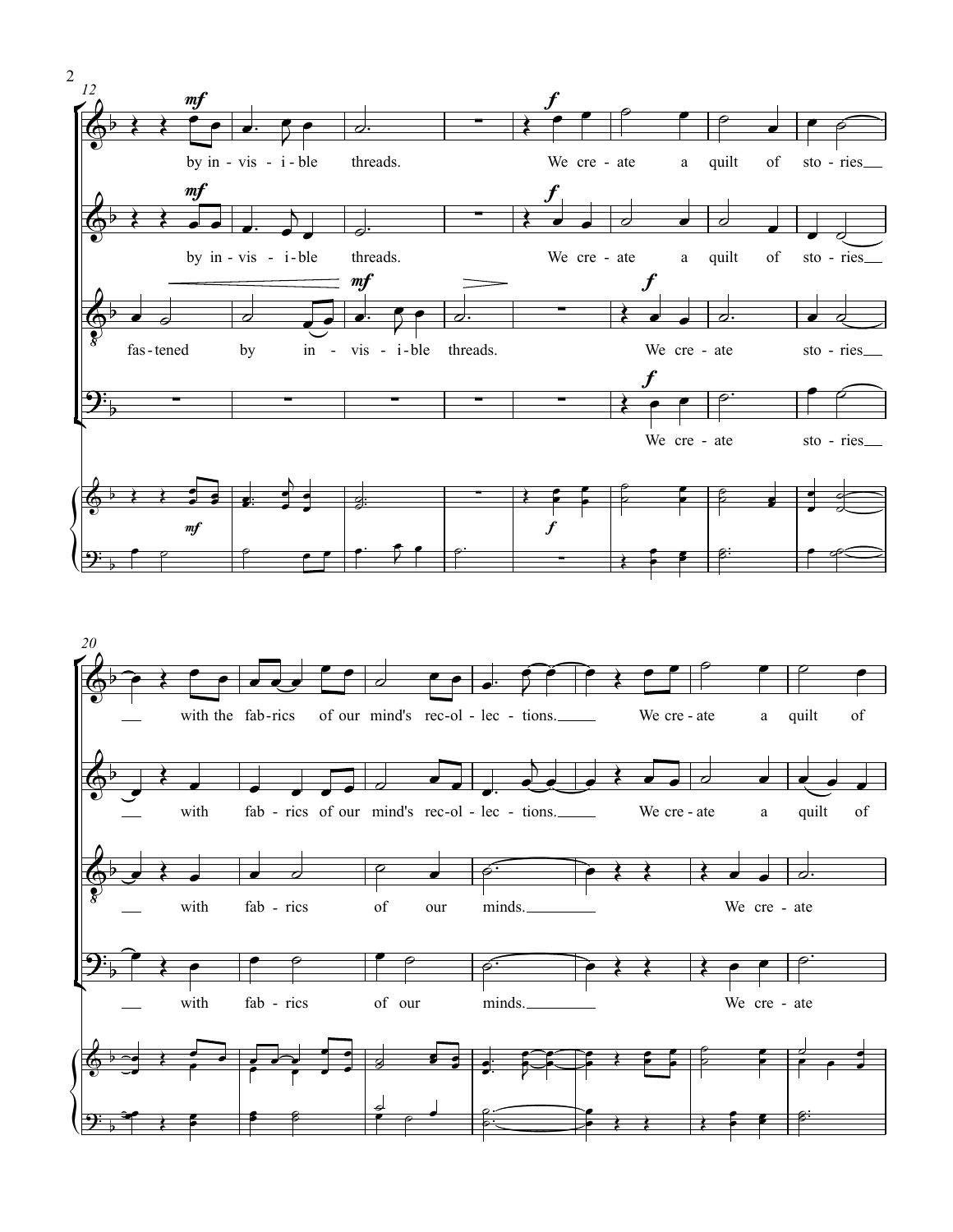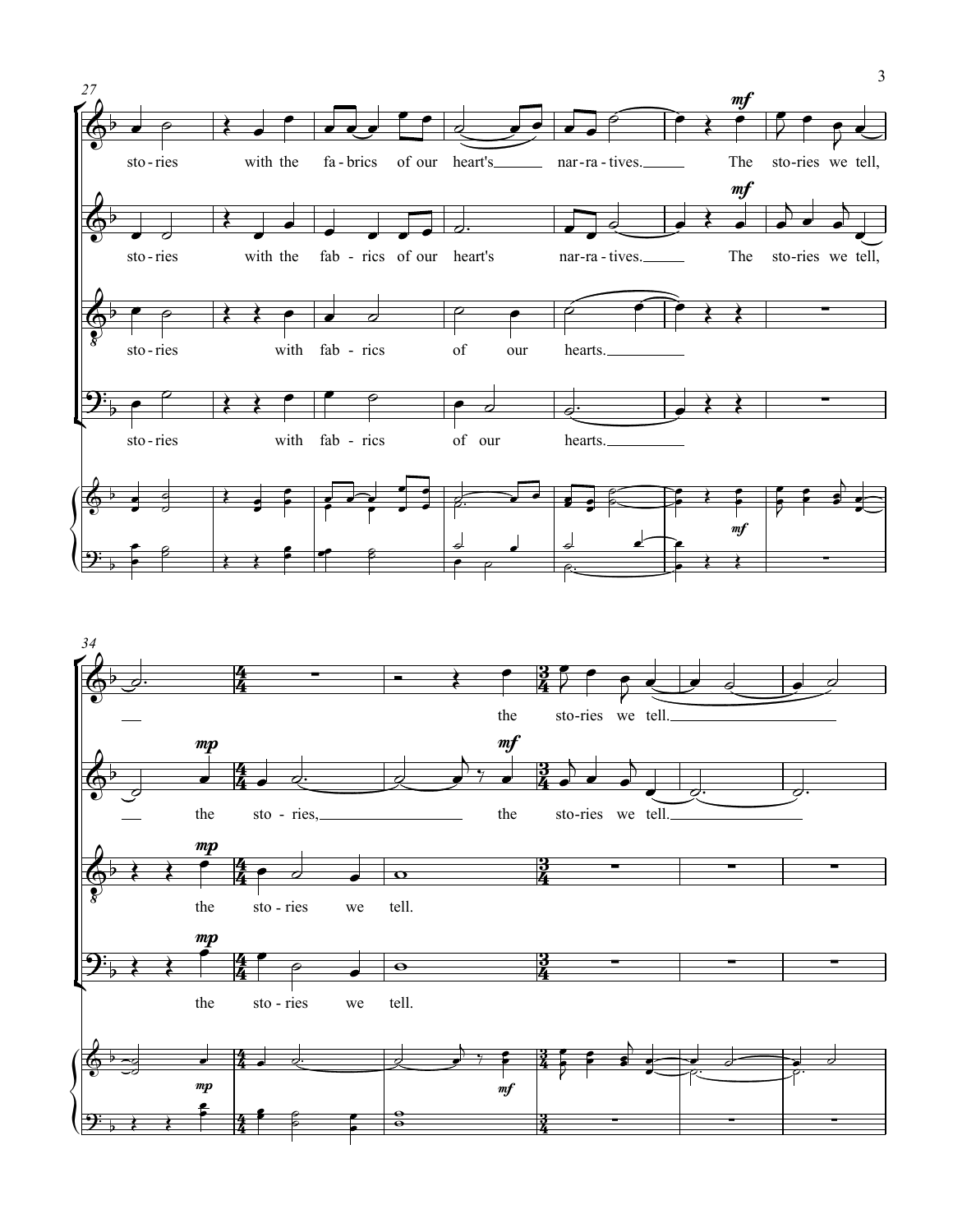

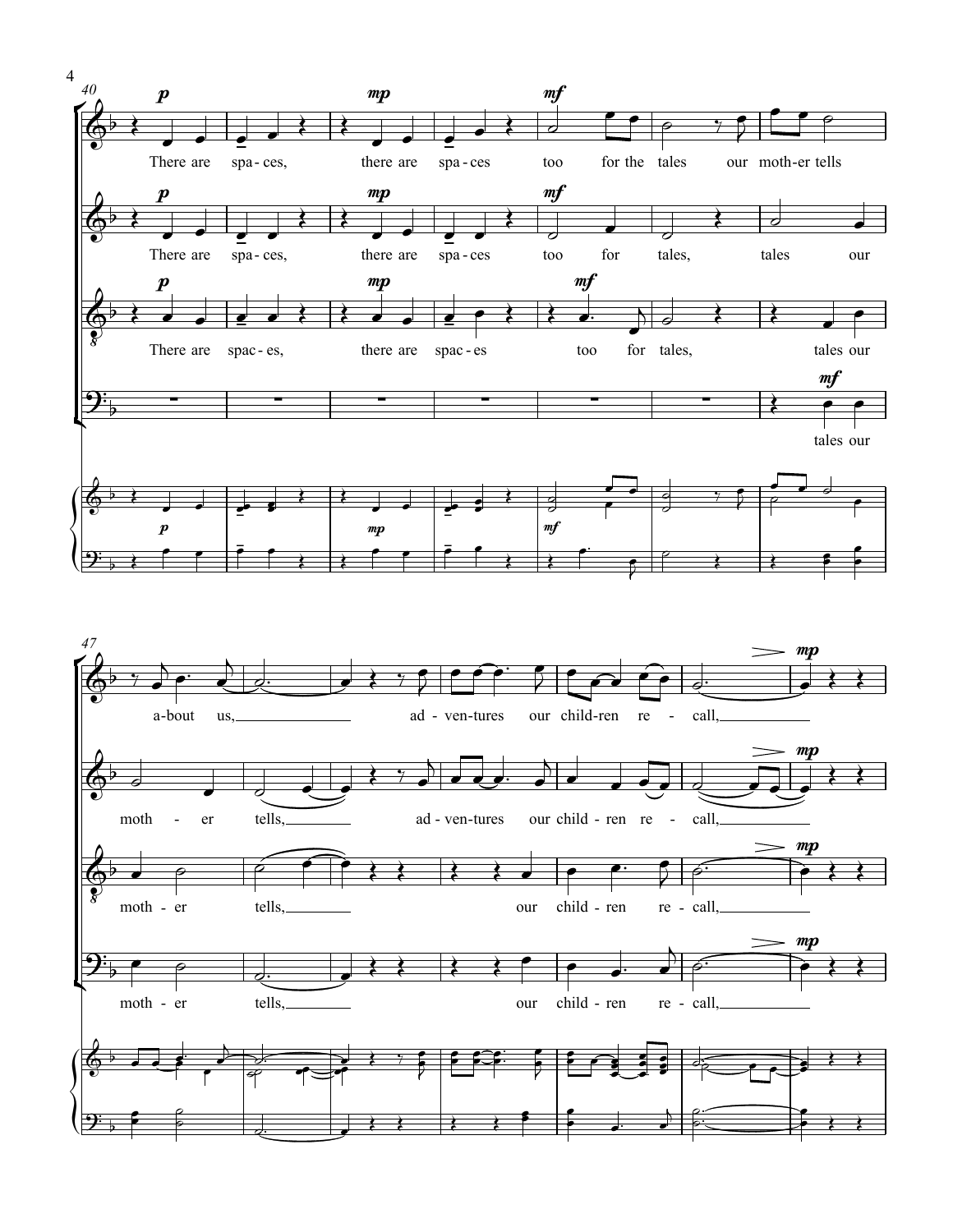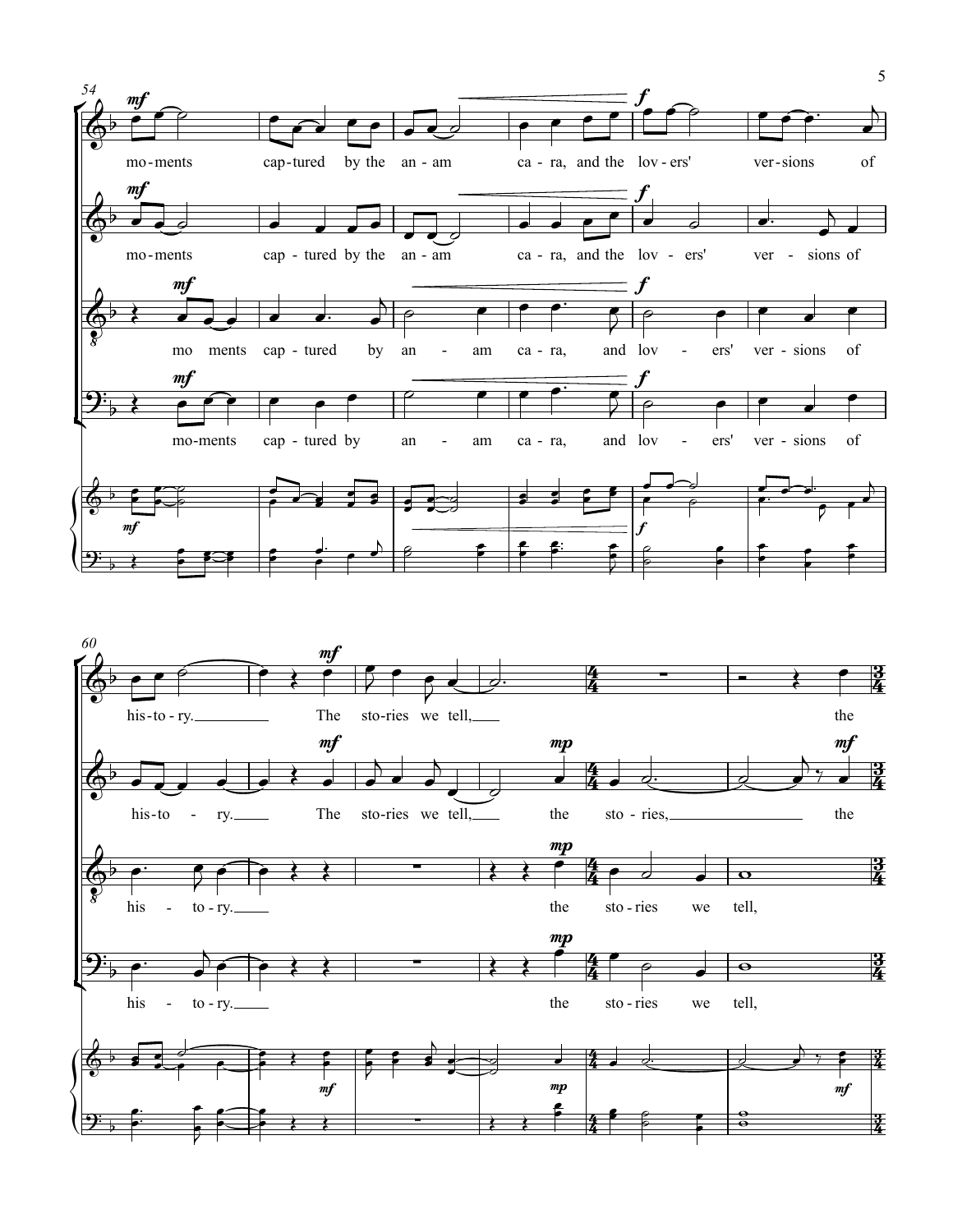

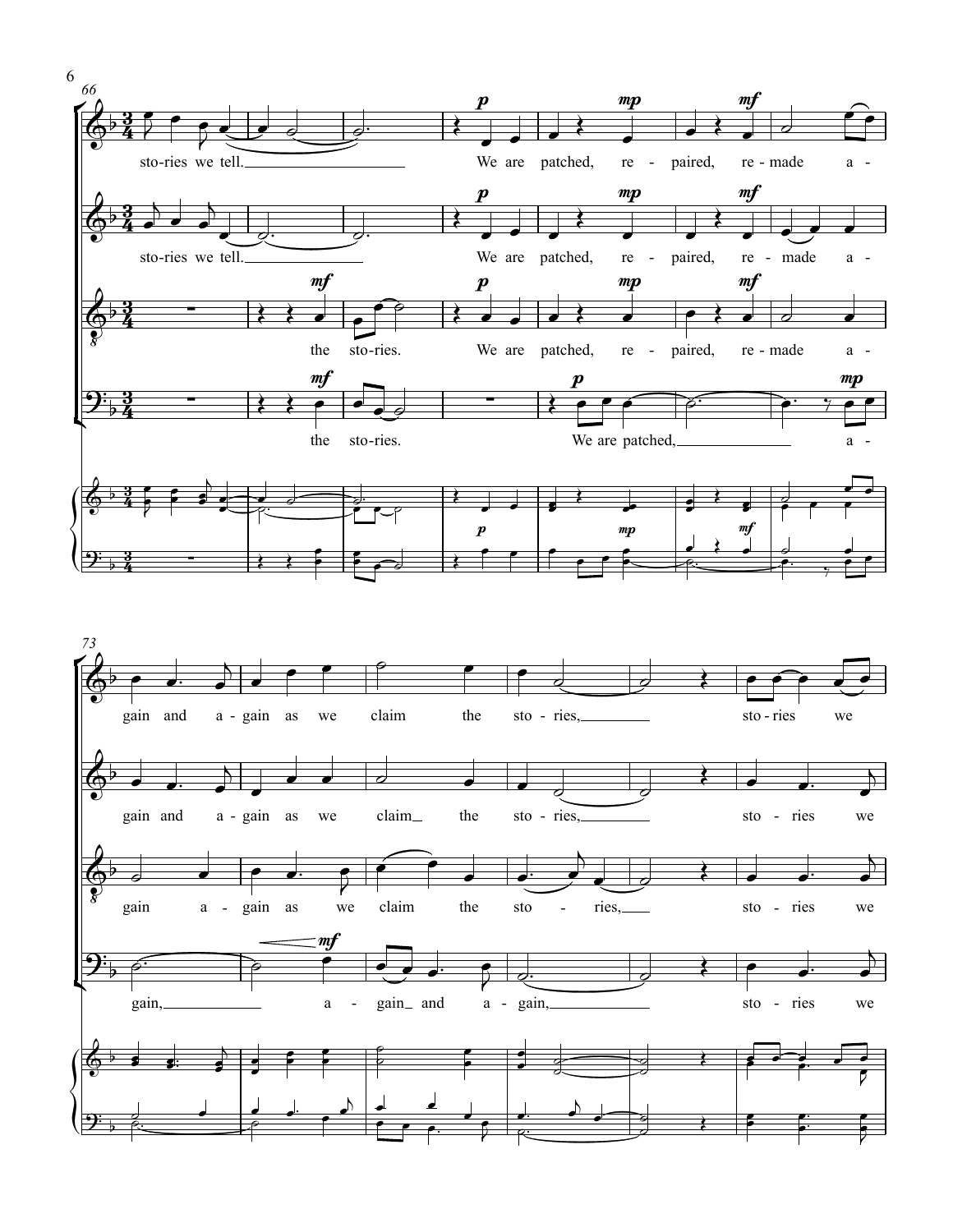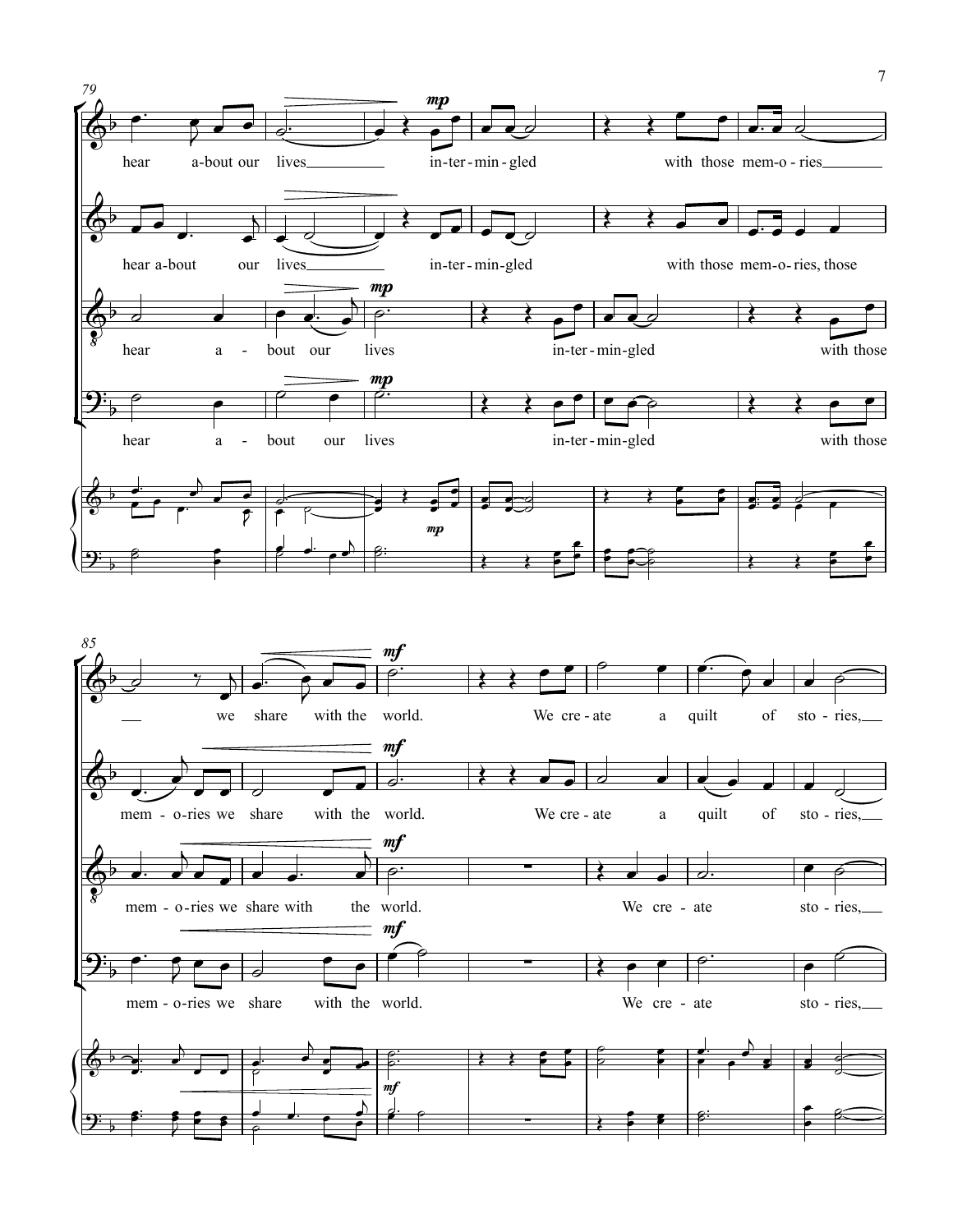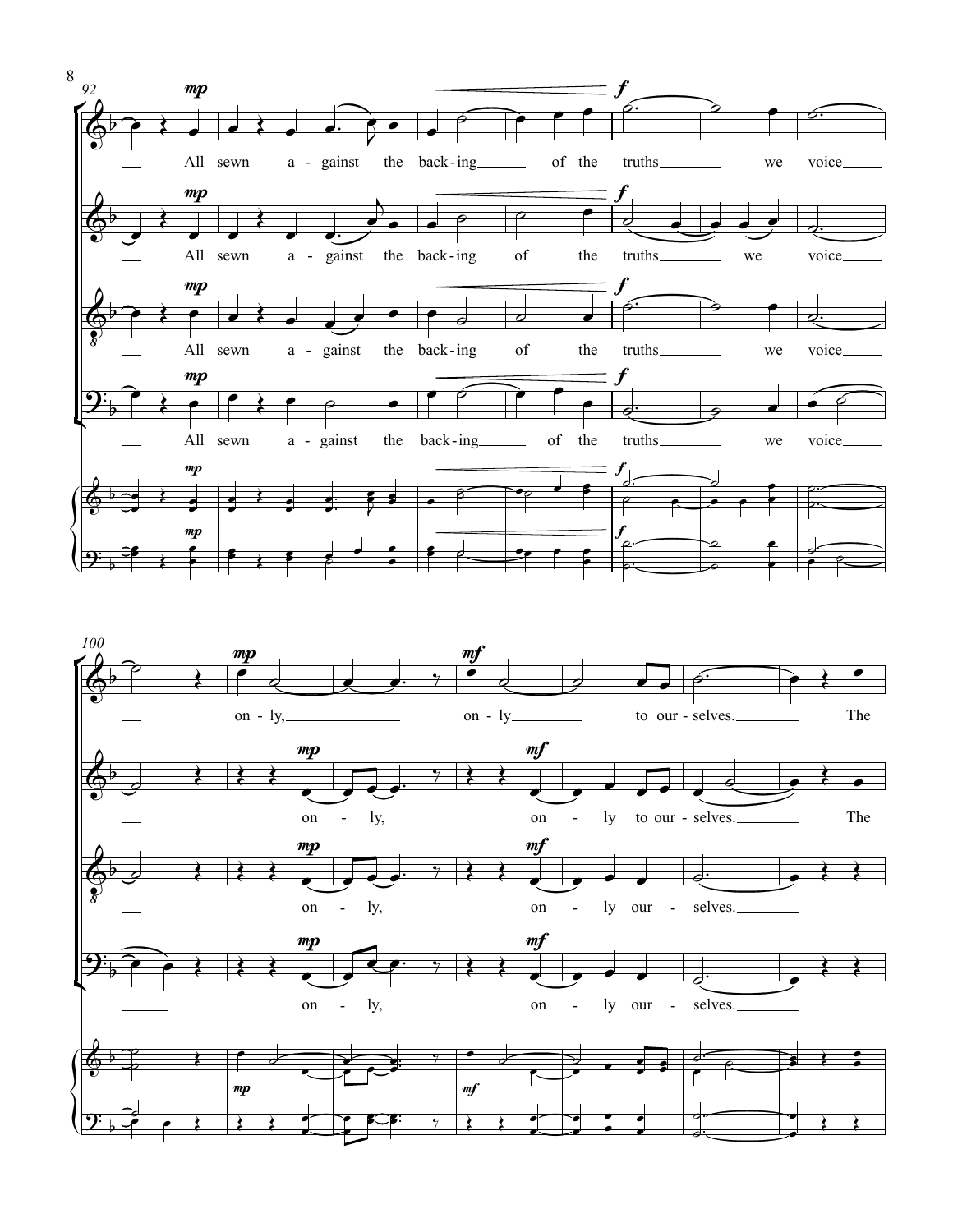